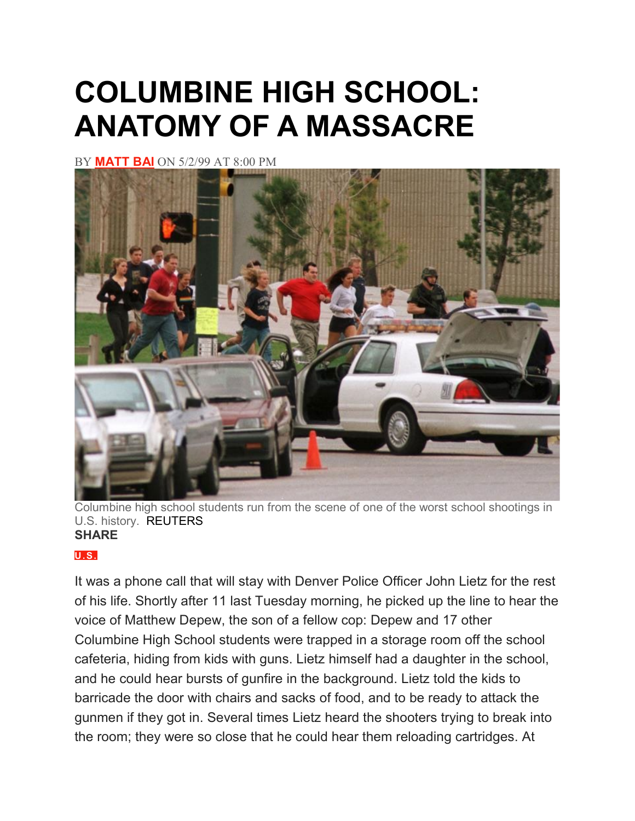# **COLUMBINE HIGH SCHOOL: ANATOMY OF A MASSACRE**

BY **[MATT](https://www.newsweek.com/authors/matt-bai) BAI** ON 5/2/99 AT 8:00 PM



Columbine high school students run from the scene of one of the worst school shootings in U.S. history. REUTERS **SHARE**

### **[U.S.](https://www.newsweek.com/us)**

It was a phone call that will stay with Denver Police Officer John Lietz for the rest of his life. Shortly after 11 last Tuesday morning, he picked up the line to hear the voice of Matthew Depew, the son of a fellow cop: Depew and 17 other Columbine High School students were trapped in a storage room off the school cafeteria, hiding from kids with guns. Lietz himself had a daughter in the school, and he could hear bursts of gunfire in the background. Lietz told the kids to barricade the door with chairs and sacks of food, and to be ready to attack the gunmen if they got in. Several times Lietz heard the shooters trying to break into the room; they were so close that he could hear them reloading cartridges. At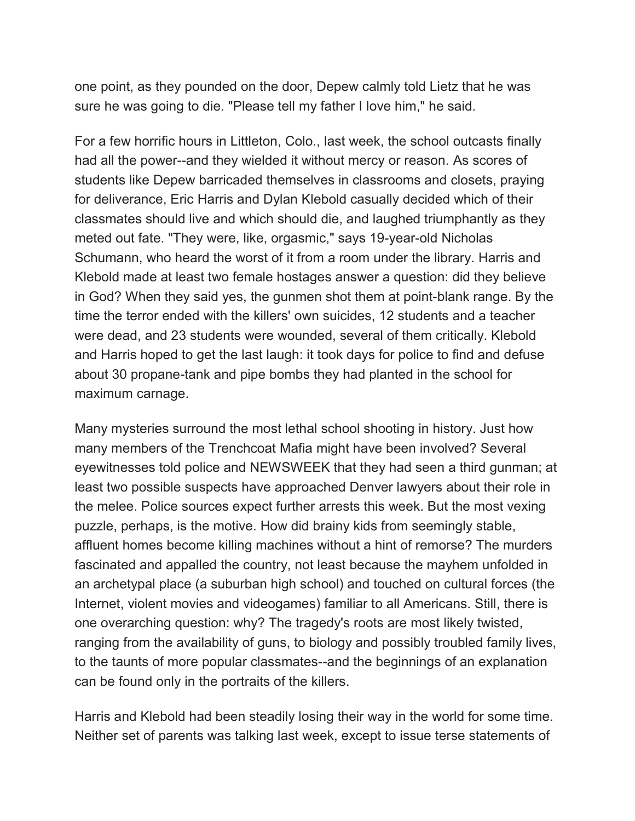one point, as they pounded on the door, Depew calmly told Lietz that he was sure he was going to die. "Please tell my father I love him," he said.

For a few horrific hours in Littleton, Colo., last week, the school outcasts finally had all the power--and they wielded it without mercy or reason. As scores of students like Depew barricaded themselves in classrooms and closets, praying for deliverance, Eric Harris and Dylan Klebold casually decided which of their classmates should live and which should die, and laughed triumphantly as they meted out fate. "They were, like, orgasmic," says 19-year-old Nicholas Schumann, who heard the worst of it from a room under the library. Harris and Klebold made at least two female hostages answer a question: did they believe in God? When they said yes, the gunmen shot them at point-blank range. By the time the terror ended with the killers' own suicides, 12 students and a teacher were dead, and 23 students were wounded, several of them critically. Klebold and Harris hoped to get the last laugh: it took days for police to find and defuse about 30 propane-tank and pipe bombs they had planted in the school for maximum carnage.

Many mysteries surround the most lethal school shooting in history. Just how many members of the Trenchcoat Mafia might have been involved? Several eyewitnesses told police and NEWSWEEK that they had seen a third gunman; at least two possible suspects have approached Denver lawyers about their role in the melee. Police sources expect further arrests this week. But the most vexing puzzle, perhaps, is the motive. How did brainy kids from seemingly stable, affluent homes become killing machines without a hint of remorse? The murders fascinated and appalled the country, not least because the mayhem unfolded in an archetypal place (a suburban high school) and touched on cultural forces (the Internet, violent movies and videogames) familiar to all Americans. Still, there is one overarching question: why? The tragedy's roots are most likely twisted, ranging from the availability of guns, to biology and possibly troubled family lives, to the taunts of more popular classmates--and the beginnings of an explanation can be found only in the portraits of the killers.

Harris and Klebold had been steadily losing their way in the world for some time. Neither set of parents was talking last week, except to issue terse statements of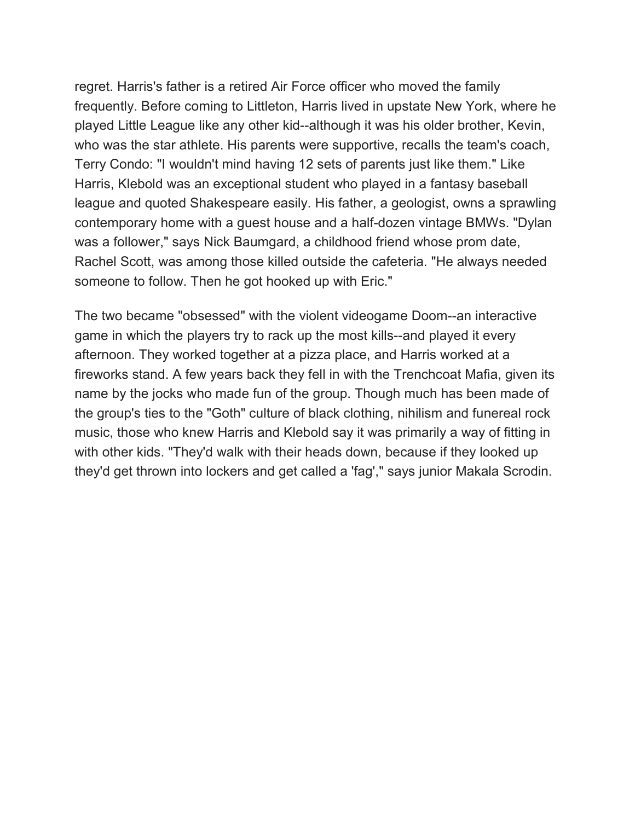regret. Harris's father is a retired Air Force officer who moved the family frequently. Before coming to Littleton, Harris lived in upstate New York, where he played Little League like any other kid--although it was his older brother, Kevin, who was the star athlete. His parents were supportive, recalls the team's coach, Terry Condo: "I wouldn't mind having 12 sets of parents just like them." Like Harris, Klebold was an exceptional student who played in a fantasy baseball league and quoted Shakespeare easily. His father, a geologist, owns a sprawling contemporary home with a guest house and a half-dozen vintage BMWs. "Dylan was a follower," says Nick Baumgard, a childhood friend whose prom date, Rachel Scott, was among those killed outside the cafeteria. "He always needed someone to follow. Then he got hooked up with Eric."

The two became "obsessed" with the violent videogame Doom--an interactive game in which the players try to rack up the most kills--and played it every afternoon. They worked together at a pizza place, and Harris worked at a fireworks stand. A few years back they fell in with the Trenchcoat Mafia, given its name by the jocks who made fun of the group. Though much has been made of the group's ties to the "Goth" culture of black clothing, nihilism and funereal rock music, those who knew Harris and Klebold say it was primarily a way of fitting in with other kids. "They'd walk with their heads down, because if they looked up they'd get thrown into lockers and get called a 'fag'," says junior Makala Scrodin.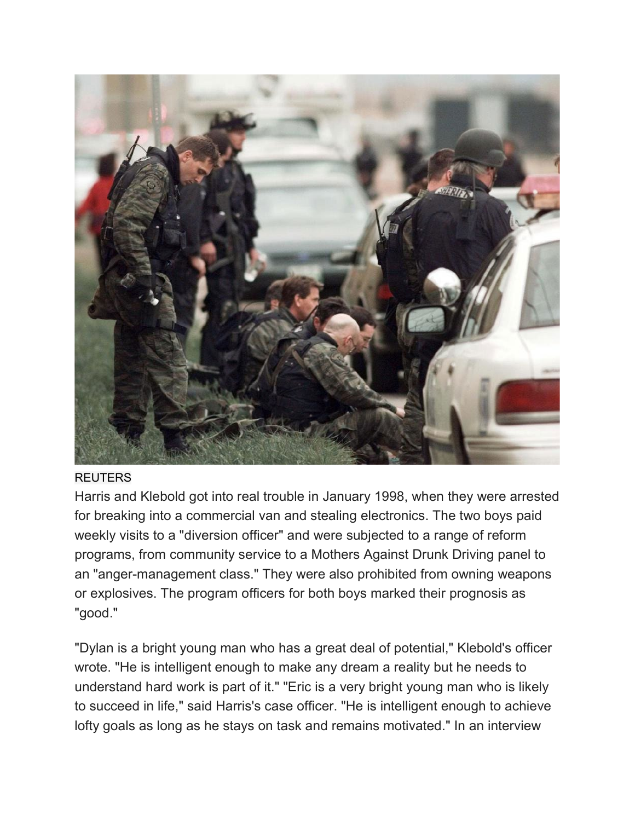

### **REUTERS**

Harris and Klebold got into real trouble in January 1998, when they were arrested for breaking into a commercial van and stealing electronics. The two boys paid weekly visits to a "diversion officer" and were subjected to a range of reform programs, from community service to a Mothers Against Drunk Driving panel to an "anger-management class." They were also prohibited from owning weapons or explosives. The program officers for both boys marked their prognosis as "good."

"Dylan is a bright young man who has a great deal of potential," Klebold's officer wrote. "He is intelligent enough to make any dream a reality but he needs to understand hard work is part of it." "Eric is a very bright young man who is likely to succeed in life," said Harris's case officer. "He is intelligent enough to achieve lofty goals as long as he stays on task and remains motivated." In an interview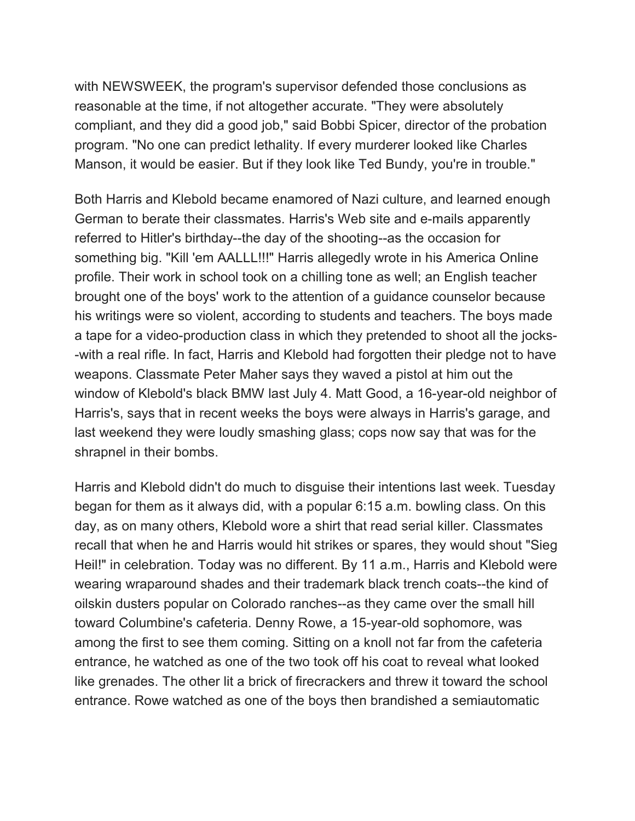with NEWSWEEK, the program's supervisor defended those conclusions as reasonable at the time, if not altogether accurate. "They were absolutely compliant, and they did a good job," said Bobbi Spicer, director of the probation program. "No one can predict lethality. If every murderer looked like Charles Manson, it would be easier. But if they look like Ted Bundy, you're in trouble."

Both Harris and Klebold became enamored of Nazi culture, and learned enough German to berate their classmates. Harris's Web site and e-mails apparently referred to Hitler's birthday--the day of the shooting--as the occasion for something big. "Kill 'em AALLL!!!" Harris allegedly wrote in his America Online profile. Their work in school took on a chilling tone as well; an English teacher brought one of the boys' work to the attention of a guidance counselor because his writings were so violent, according to students and teachers. The boys made a tape for a video-production class in which they pretended to shoot all the jocks- -with a real rifle. In fact, Harris and Klebold had forgotten their pledge not to have weapons. Classmate Peter Maher says they waved a pistol at him out the window of Klebold's black BMW last July 4. Matt Good, a 16-year-old neighbor of Harris's, says that in recent weeks the boys were always in Harris's garage, and last weekend they were loudly smashing glass; cops now say that was for the shrapnel in their bombs.

Harris and Klebold didn't do much to disguise their intentions last week. Tuesday began for them as it always did, with a popular 6:15 a.m. bowling class. On this day, as on many others, Klebold wore a shirt that read serial killer. Classmates recall that when he and Harris would hit strikes or spares, they would shout "Sieg Heil!" in celebration. Today was no different. By 11 a.m., Harris and Klebold were wearing wraparound shades and their trademark black trench coats--the kind of oilskin dusters popular on Colorado ranches--as they came over the small hill toward Columbine's cafeteria. Denny Rowe, a 15-year-old sophomore, was among the first to see them coming. Sitting on a knoll not far from the cafeteria entrance, he watched as one of the two took off his coat to reveal what looked like grenades. The other lit a brick of firecrackers and threw it toward the school entrance. Rowe watched as one of the boys then brandished a semiautomatic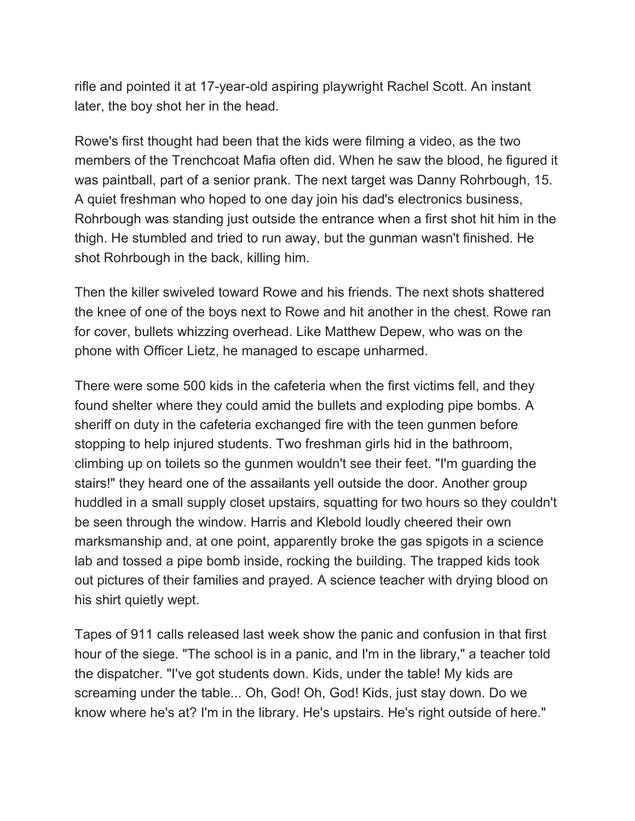rifle and pointed it at 17-year-old aspiring playwright Rachel Scott. An instant later, the boy shot her in the head.

Rowe's first thought had been that the kids were filming a video, as the two members of the Trenchcoat Mafia often did. When he saw the blood, he figured it was paintball, part of a senior prank. The next target was Danny Rohrbough, 15. A quiet freshman who hoped to one day join his dad's electronics business, Rohrbough was standing just outside the entrance when a first shot hit him in the thigh. He stumbled and tried to run away, but the gunman wasn't finished. He shot Rohrbough in the back, killing him.

Then the killer swiveled toward Rowe and his friends. The next shots shattered the knee of one of the boys next to Rowe and hit another in the chest. Rowe ran for cover, bullets whizzing overhead. Like Matthew Depew, who was on the phone with Officer Lietz, he managed to escape unharmed.

There were some 500 kids in the cafeteria when the first victims fell, and they found shelter where they could amid the bullets and exploding pipe bombs. A sheriff on duty in the cafeteria exchanged fire with the teen gunmen before stopping to help injured students. Two freshman girls hid in the bathroom, climbing up on toilets so the gunmen wouldn't see their feet. "I'm guarding the stairs!" they heard one of the assailants yell outside the door. Another group huddled in a small supply closet upstairs, squatting for two hours so they couldn't be seen through the window. Harris and Klebold loudly cheered their own marksmanship and, at one point, apparently broke the gas spigots in a science lab and tossed a pipe bomb inside, rocking the building. The trapped kids took out pictures of their families and prayed. A science teacher with drying blood on his shirt quietly wept.

Tapes of 911 calls released last week show the panic and confusion in that first hour of the siege. "The school is in a panic, and I'm in the library," a teacher told the dispatcher. "I've got students down. Kids, under the table! My kids are screaming under the table... Oh, God! Oh, God! Kids, just stay down. Do we know where he's at? I'm in the library. He's upstairs. He's right outside of here."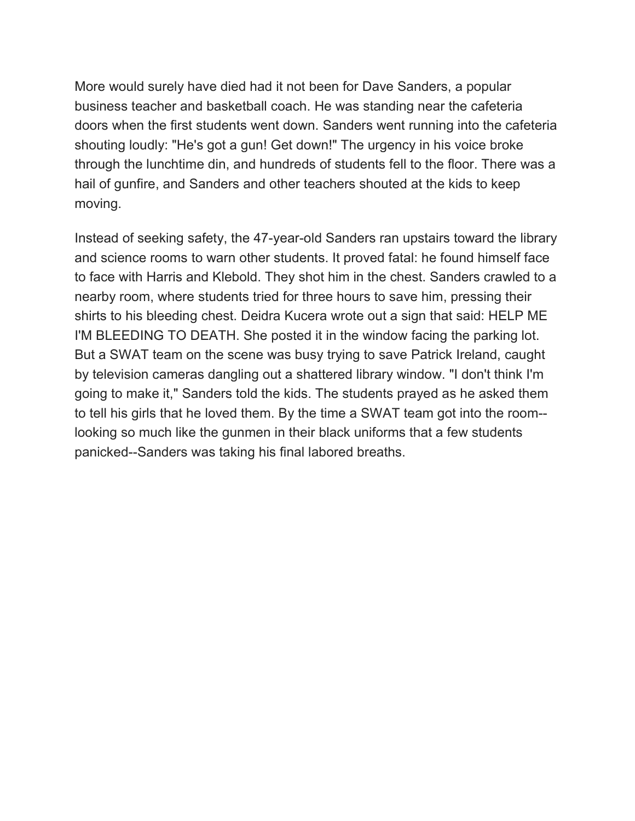More would surely have died had it not been for Dave Sanders, a popular business teacher and basketball coach. He was standing near the cafeteria doors when the first students went down. Sanders went running into the cafeteria shouting loudly: "He's got a gun! Get down!" The urgency in his voice broke through the lunchtime din, and hundreds of students fell to the floor. There was a hail of gunfire, and Sanders and other teachers shouted at the kids to keep moving.

Instead of seeking safety, the 47-year-old Sanders ran upstairs toward the library and science rooms to warn other students. It proved fatal: he found himself face to face with Harris and Klebold. They shot him in the chest. Sanders crawled to a nearby room, where students tried for three hours to save him, pressing their shirts to his bleeding chest. Deidra Kucera wrote out a sign that said: HELP ME I'M BLEEDING TO DEATH. She posted it in the window facing the parking lot. But a SWAT team on the scene was busy trying to save Patrick Ireland, caught by television cameras dangling out a shattered library window. "I don't think I'm going to make it," Sanders told the kids. The students prayed as he asked them to tell his girls that he loved them. By the time a SWAT team got into the room- looking so much like the gunmen in their black uniforms that a few students panicked--Sanders was taking his final labored breaths.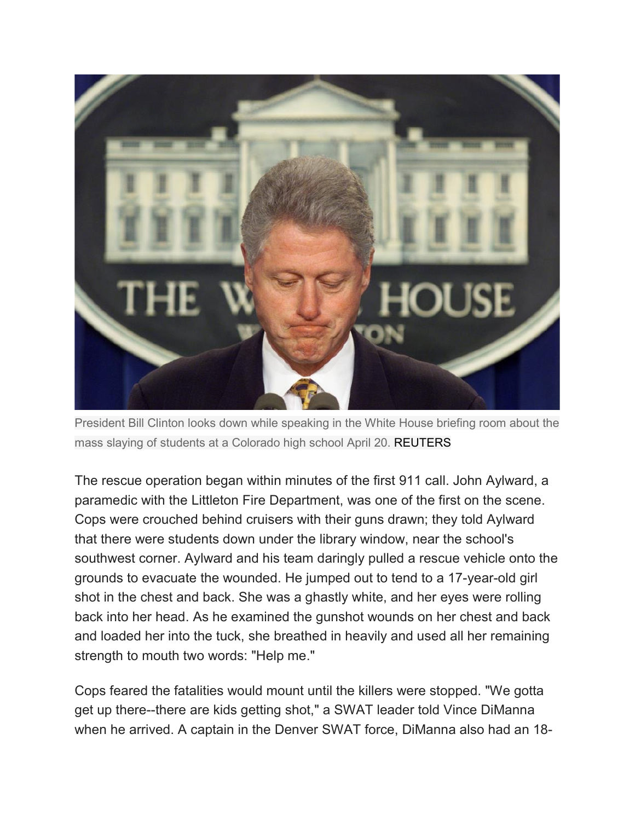

President Bill Clinton looks down while speaking in the White House briefing room about the mass slaying of students at a Colorado high school April 20. REUTERS

The rescue operation began within minutes of the first 911 call. John Aylward, a paramedic with the Littleton Fire Department, was one of the first on the scene. Cops were crouched behind cruisers with their guns drawn; they told Aylward that there were students down under the library window, near the school's southwest corner. Aylward and his team daringly pulled a rescue vehicle onto the grounds to evacuate the wounded. He jumped out to tend to a 17-year-old girl shot in the chest and back. She was a ghastly white, and her eyes were rolling back into her head. As he examined the gunshot wounds on her chest and back and loaded her into the tuck, she breathed in heavily and used all her remaining strength to mouth two words: "Help me."

Cops feared the fatalities would mount until the killers were stopped. "We gotta get up there--there are kids getting shot," a SWAT leader told Vince DiManna when he arrived. A captain in the Denver SWAT force, DiManna also had an 18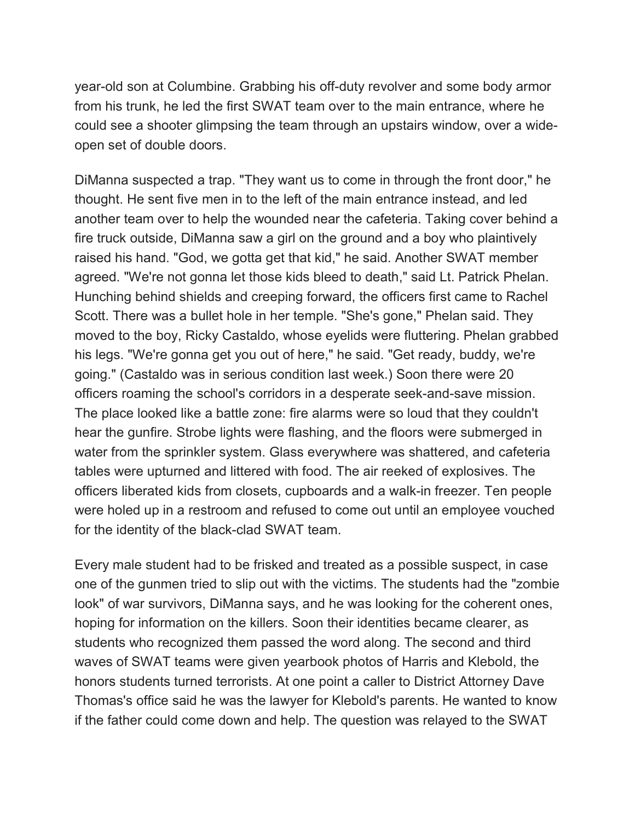year-old son at Columbine. Grabbing his off-duty revolver and some body armor from his trunk, he led the first SWAT team over to the main entrance, where he could see a shooter glimpsing the team through an upstairs window, over a wideopen set of double doors.

DiManna suspected a trap. "They want us to come in through the front door," he thought. He sent five men in to the left of the main entrance instead, and led another team over to help the wounded near the cafeteria. Taking cover behind a fire truck outside, DiManna saw a girl on the ground and a boy who plaintively raised his hand. "God, we gotta get that kid," he said. Another SWAT member agreed. "We're not gonna let those kids bleed to death," said Lt. Patrick Phelan. Hunching behind shields and creeping forward, the officers first came to Rachel Scott. There was a bullet hole in her temple. "She's gone," Phelan said. They moved to the boy, Ricky Castaldo, whose eyelids were fluttering. Phelan grabbed his legs. "We're gonna get you out of here," he said. "Get ready, buddy, we're going." (Castaldo was in serious condition last week.) Soon there were 20 officers roaming the school's corridors in a desperate seek-and-save mission. The place looked like a battle zone: fire alarms were so loud that they couldn't hear the gunfire. Strobe lights were flashing, and the floors were submerged in water from the sprinkler system. Glass everywhere was shattered, and cafeteria tables were upturned and littered with food. The air reeked of explosives. The officers liberated kids from closets, cupboards and a walk-in freezer. Ten people were holed up in a restroom and refused to come out until an employee vouched for the identity of the black-clad SWAT team.

Every male student had to be frisked and treated as a possible suspect, in case one of the gunmen tried to slip out with the victims. The students had the "zombie look" of war survivors, DiManna says, and he was looking for the coherent ones, hoping for information on the killers. Soon their identities became clearer, as students who recognized them passed the word along. The second and third waves of SWAT teams were given yearbook photos of Harris and Klebold, the honors students turned terrorists. At one point a caller to District Attorney Dave Thomas's office said he was the lawyer for Klebold's parents. He wanted to know if the father could come down and help. The question was relayed to the SWAT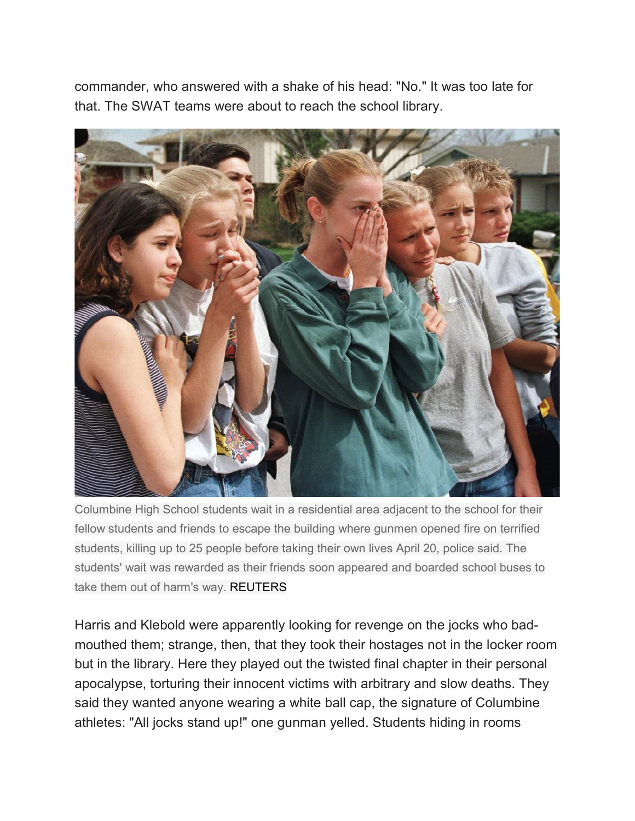commander, who answered with a shake of his head: "No." It was too late for that. The SWAT teams were about to reach the school library.



Columbine High School students wait in a residential area adjacent to the school for their fellow students and friends to escape the building where gunmen opened fire on terrified students, killing up to 25 people before taking their own lives April 20, police said. The students' wait was rewarded as their friends soon appeared and boarded school buses to take them out of harm's way. REUTERS

Harris and Klebold were apparently looking for revenge on the jocks who badmouthed them; strange, then, that they took their hostages not in the locker room but in the library. Here they played out the twisted final chapter in their personal apocalypse, torturing their innocent victims with arbitrary and slow deaths. They said they wanted anyone wearing a white ball cap, the signature of Columbine athletes: "All jocks stand up!" one gunman yelled. Students hiding in rooms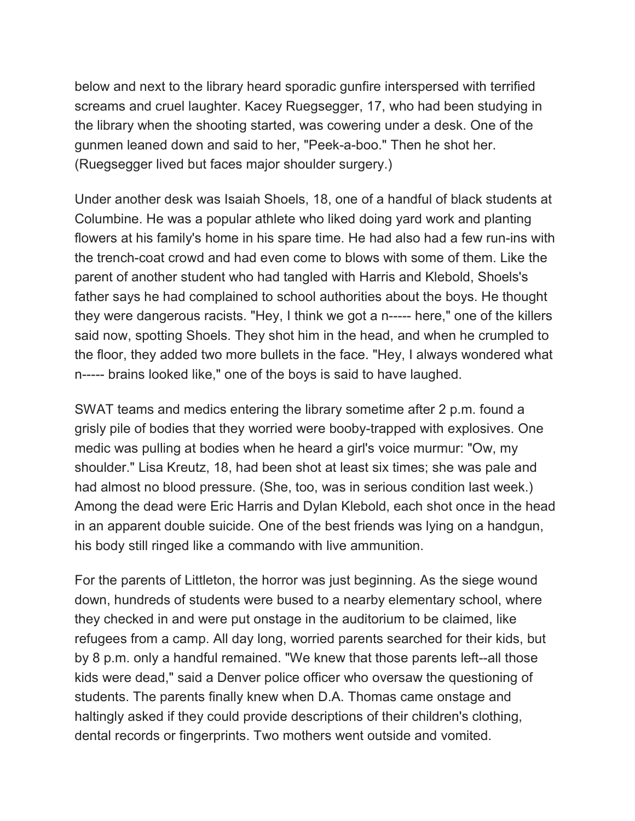below and next to the library heard sporadic gunfire interspersed with terrified screams and cruel laughter. Kacey Ruegsegger, 17, who had been studying in the library when the shooting started, was cowering under a desk. One of the gunmen leaned down and said to her, "Peek-a-boo." Then he shot her. (Ruegsegger lived but faces major shoulder surgery.)

Under another desk was Isaiah Shoels, 18, one of a handful of black students at Columbine. He was a popular athlete who liked doing yard work and planting flowers at his family's home in his spare time. He had also had a few run-ins with the trench-coat crowd and had even come to blows with some of them. Like the parent of another student who had tangled with Harris and Klebold, Shoels's father says he had complained to school authorities about the boys. He thought they were dangerous racists. "Hey, I think we got a n----- here," one of the killers said now, spotting Shoels. They shot him in the head, and when he crumpled to the floor, they added two more bullets in the face. "Hey, I always wondered what n----- brains looked like," one of the boys is said to have laughed.

SWAT teams and medics entering the library sometime after 2 p.m. found a grisly pile of bodies that they worried were booby-trapped with explosives. One medic was pulling at bodies when he heard a girl's voice murmur: "Ow, my shoulder." Lisa Kreutz, 18, had been shot at least six times; she was pale and had almost no blood pressure. (She, too, was in serious condition last week.) Among the dead were Eric Harris and Dylan Klebold, each shot once in the head in an apparent double suicide. One of the best friends was lying on a handgun, his body still ringed like a commando with live ammunition.

For the parents of Littleton, the horror was just beginning. As the siege wound down, hundreds of students were bused to a nearby elementary school, where they checked in and were put onstage in the auditorium to be claimed, like refugees from a camp. All day long, worried parents searched for their kids, but by 8 p.m. only a handful remained. "We knew that those parents left--all those kids were dead," said a Denver police officer who oversaw the questioning of students. The parents finally knew when D.A. Thomas came onstage and haltingly asked if they could provide descriptions of their children's clothing, dental records or fingerprints. Two mothers went outside and vomited.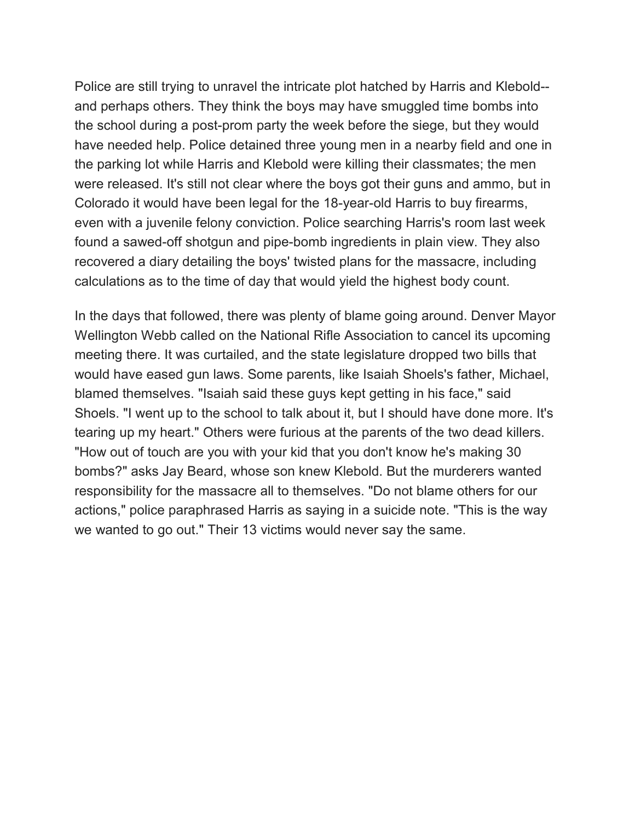Police are still trying to unravel the intricate plot hatched by Harris and Klebold- and perhaps others. They think the boys may have smuggled time bombs into the school during a post-prom party the week before the siege, but they would have needed help. Police detained three young men in a nearby field and one in the parking lot while Harris and Klebold were killing their classmates; the men were released. It's still not clear where the boys got their guns and ammo, but in Colorado it would have been legal for the 18-year-old Harris to buy firearms, even with a juvenile felony conviction. Police searching Harris's room last week found a sawed-off shotgun and pipe-bomb ingredients in plain view. They also recovered a diary detailing the boys' twisted plans for the massacre, including calculations as to the time of day that would yield the highest body count.

In the days that followed, there was plenty of blame going around. Denver Mayor Wellington Webb called on the National Rifle Association to cancel its upcoming meeting there. It was curtailed, and the state legislature dropped two bills that would have eased gun laws. Some parents, like Isaiah Shoels's father, Michael, blamed themselves. "Isaiah said these guys kept getting in his face," said Shoels. "I went up to the school to talk about it, but I should have done more. It's tearing up my heart." Others were furious at the parents of the two dead killers. "How out of touch are you with your kid that you don't know he's making 30 bombs?" asks Jay Beard, whose son knew Klebold. But the murderers wanted responsibility for the massacre all to themselves. "Do not blame others for our actions," police paraphrased Harris as saying in a suicide note. "This is the way we wanted to go out." Their 13 victims would never say the same.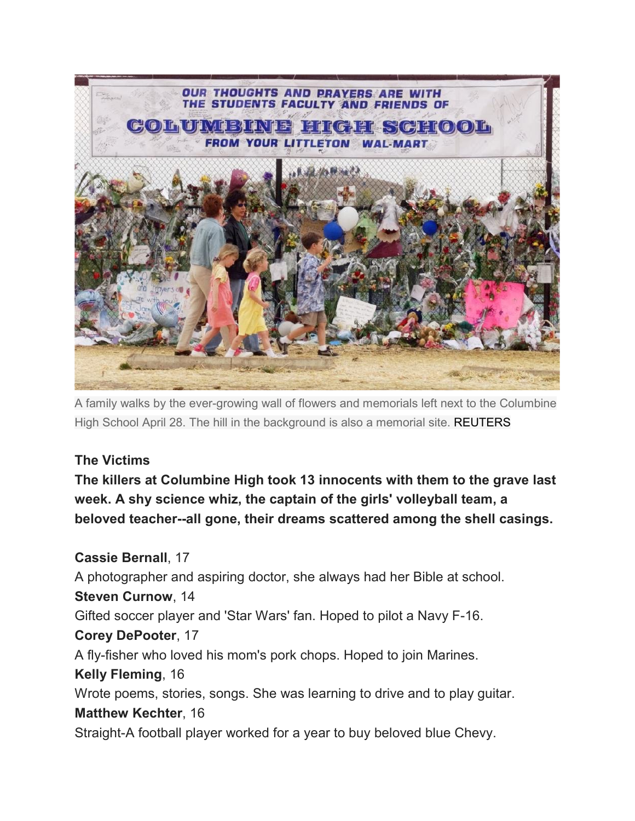

A family walks by the ever-growing wall of flowers and memorials left next to the Columbine High School April 28. The hill in the background is also a memorial site. REUTERS

## **The Victims**

**The killers at Columbine High took 13 innocents with them to the grave last week. A shy science whiz, the captain of the girls' volleyball team, a beloved teacher--all gone, their dreams scattered among the shell casings.**

**Cassie Bernall**, 17 A photographer and aspiring doctor, she always had her Bible at school. **Steven Curnow**, 14 Gifted soccer player and 'Star Wars' fan. Hoped to pilot a Navy F-16. **Corey DePooter**, 17 A fly-fisher who loved his mom's pork chops. Hoped to join Marines. **Kelly Fleming**, 16 Wrote poems, stories, songs. She was learning to drive and to play guitar. **Matthew Kechter**, 16 Straight-A football player worked for a year to buy beloved blue Chevy.